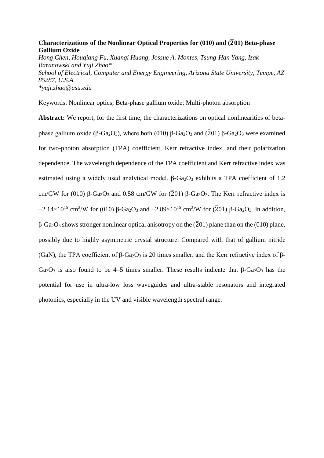# **Characterizations of the Nonlinear Optical Properties for (010) and (**̅**01) Beta-phase Gallium Oxide**

*Hong Chen, Houqiang Fu, Xuanqi Huang, Jossue A. Montes, Tsung-Han Yang, Izak Baranowski and Yuji Zhao\* School of Electrical, Computer and Energy Engineering, Arizona State University, Tempe, AZ 85287, U.S.A. \*yuji.zhao@asu.edu*

Keywords: Nonlinear optics; Beta-phase gallium oxide; Multi-photon absorption

**Abstract:** We report, for the first time, the characterizations on optical nonlinearities of betaphase gallium oxide (β-Ga<sub>2</sub>O<sub>3</sub>), where both (010) β-Ga<sub>2</sub>O<sub>3</sub> and ( $\overline{2}$ 01) β-Ga<sub>2</sub>O<sub>3</sub> were examined for two-photon absorption (TPA) coefficient, Kerr refractive index, and their polarization dependence. The wavelength dependence of the TPA coefficient and Kerr refractive index was estimated using a widely used analytical model.  $\beta$ -Ga<sub>2</sub>O<sub>3</sub> exhibits a TPA coefficient of 1.2 cm/GW for (010) β-Ga<sub>2</sub>O<sub>3</sub> and 0.58 cm/GW for ( $\overline{2}01$ ) β-Ga<sub>2</sub>O<sub>3</sub>. The Kerr refractive index is  $-2.14\times10^{15}$  cm<sup>2</sup>/W for (010) β-Ga<sub>2</sub>O<sub>3</sub> and  $-2.89\times10^{15}$  cm<sup>2</sup>/W for (2<sup>7</sup>01) β-Ga<sub>2</sub>O<sub>3</sub>. In addition,  $β$ -Ga<sub>2</sub>O<sub>3</sub> shows stronger nonlinear optical anisotropy on the ( $\overline{2}$ 01) plane than on the (010) plane, possibly due to highly asymmetric crystal structure. Compared with that of gallium nitride (GaN), the TPA coefficient of β-Ga<sub>2</sub>O<sub>3</sub> is 20 times smaller, and the Kerr refractive index of β-Ga<sub>2</sub>O<sub>3</sub> is also found to be 4–5 times smaller. These results indicate that β-Ga<sub>2</sub>O<sub>3</sub> has the potential for use in ultra-low loss waveguides and ultra-stable resonators and integrated photonics, especially in the UV and visible wavelength spectral range.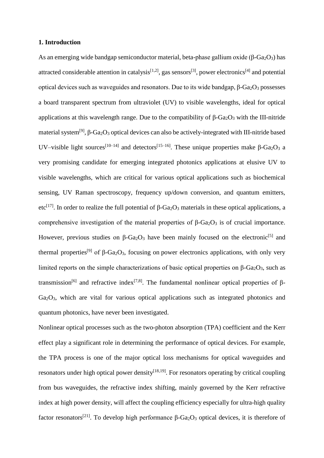### **1. Introduction**

As an emerging wide bandgap semiconductor material, beta-phase gallium oxide ( $\beta$ -Ga<sub>2</sub>O<sub>3</sub>) has attracted considerable attention in catalysis<sup>[1,2]</sup>, gas sensors<sup>[3]</sup>, power electronics<sup>[4]</sup> and potential optical devices such as waveguides and resonators. Due to its wide bandgap,  $β$ - $Ga<sub>2</sub>O<sub>3</sub>$  possesses a board transparent spectrum from ultraviolet (UV) to visible wavelengths, ideal for optical applications at this wavelength range. Due to the compatibility of  $\beta$ -Ga<sub>2</sub>O<sub>3</sub> with the III-nitride material system<sup>[9]</sup>, β-Ga<sub>2</sub>O<sub>3</sub> optical devices can also be actively-integrated with III-nitride based UV–visible light sources<sup>[10–14]</sup> and detectors<sup>[15–16]</sup>. These unique properties make β-Ga<sub>2</sub>O<sub>3</sub> a very promising candidate for emerging integrated photonics applications at elusive UV to visible wavelengths, which are critical for various optical applications such as biochemical sensing, UV Raman spectroscopy, frequency up/down conversion, and quantum emitters, etc<sup>[17]</sup>. In order to realize the full potential of β-Ga<sub>2</sub>O<sub>3</sub> materials in these optical applications, a comprehensive investigation of the material properties of  $\beta$ -Ga<sub>2</sub>O<sub>3</sub> is of crucial importance. However, previous studies on β-Ga<sub>2</sub>O<sub>3</sub> have been mainly focused on the electronic<sup>[5]</sup> and thermal properties<sup>[9]</sup> of  $\beta$ -Ga<sub>2</sub>O<sub>3</sub>, focusing on power electronics applications, with only very limited reports on the simple characterizations of basic optical properties on β- $Ga<sub>2</sub>O<sub>3</sub>$ , such as transmission<sup>[6]</sup> and refractive index<sup>[7,8]</sup>. The fundamental nonlinear optical properties of β- $Ga<sub>2</sub>O<sub>3</sub>$ , which are vital for various optical applications such as integrated photonics and quantum photonics, have never been investigated.

Nonlinear optical processes such as the two-photon absorption (TPA) coefficient and the Kerr effect play a significant role in determining the performance of optical devices. For example, the TPA process is one of the major optical loss mechanisms for optical waveguides and resonators under high optical power density $[18,19]$ . For resonators operating by critical coupling from bus waveguides, the refractive index shifting, mainly governed by the Kerr refractive index at high power density, will affect the coupling efficiency especially for ultra-high quality factor resonators<sup>[21]</sup>. To develop high performance β-Ga<sub>2</sub>O<sub>3</sub> optical devices, it is therefore of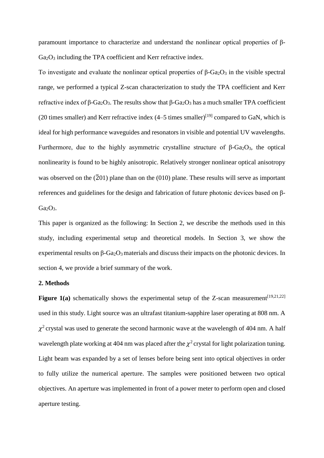paramount importance to characterize and understand the nonlinear optical properties of β- $Ga<sub>2</sub>O<sub>3</sub>$  including the TPA coefficient and Kerr refractive index.

To investigate and evaluate the nonlinear optical properties of  $\beta$ -Ga<sub>2</sub>O<sub>3</sub> in the visible spectral range, we performed a typical Z-scan characterization to study the TPA coefficient and Kerr refractive index of β-Ga<sub>2</sub>O<sub>3</sub>. The results show that β-Ga<sub>2</sub>O<sub>3</sub> has a much smaller TPA coefficient (20 times smaller) and Kerr refractive index  $(4-5$  times smaller)<sup>[19]</sup> compared to GaN, which is ideal for high performance waveguides and resonators in visible and potential UV wavelengths. Furthermore, due to the highly asymmetric crystalline structure of β- $Ga<sub>2</sub>O<sub>3</sub>$ , the optical nonlinearity is found to be highly anisotropic. Relatively stronger nonlinear optical anisotropy was observed on the  $(201)$  plane than on the  $(010)$  plane. These results will serve as important references and guidelines for the design and fabrication of future photonic devices based on β- $Ga_2O_3$ .

This paper is organized as the following: In Section 2, we describe the methods used in this study, including experimental setup and theoretical models. In Section 3, we show the experimental results on  $\beta$ -Ga<sub>2</sub>O<sub>3</sub> materials and discuss their impacts on the photonic devices. In section 4, we provide a brief summary of the work.

# **2. Methods**

**Figure 1(a)** schematically shows the experimental setup of the Z-scan measurement<sup> $[19,21,22]$ </sup> used in this study. Light source was an ultrafast titanium-sapphire laser operating at 808 nm. A  $\chi^2$  crystal was used to generate the second harmonic wave at the wavelength of 404 nm. A half wavelength plate working at 404 nm was placed after the  $\chi^2$  crystal for light polarization tuning. Light beam was expanded by a set of lenses before being sent into optical objectives in order to fully utilize the numerical aperture. The samples were positioned between two optical objectives. An aperture was implemented in front of a power meter to perform open and closed aperture testing.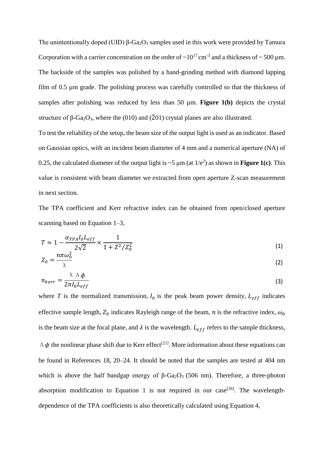The unintentionally doped (UID)  $\beta$ -Ga<sub>2</sub>O<sub>3</sub> samples used in this work were provided by Tamura Corporation with a carrier concentration on the order of  $\sim 10^{17}$  cm<sup>-3</sup> and a thickness of  $\sim 500$  µm. The backside of the samples was polished by a hand-grinding method with diamond lapping film of 0.5 µm grade. The polishing process was carefully controlled so that the thickness of samples after polishing was reduced by less than 50 µm. **Figure 1(b)** depicts the crystal structure of β-Ga<sub>2</sub>O<sub>3</sub>, where the (010) and ( $\overline{2}$ 01) crystal planes are also illustrated.

To test the reliability of the setup, the beam size of the output light is used as an indicator. Based on Gaussian optics, with an incident beam diameter of 4 mm and a numerical aperture (NA) of 0.25, the calculated diameter of the output light is  $\sim$  5  $\mu$ m (at 1/e<sup>2</sup>) as shown in **Figure 1(c)**. This value is consistent with beam diameter we extracted from open aperture Z-scan measurement in next section.

The TPA coefficient and Kerr refractive index can be obtained from open/closed aperture scanning based on Equation 1–3,

$$
T \approx 1 - \frac{\alpha_{TPA} I_0 L_{eff}}{2\sqrt{2}} \times \frac{1}{1 + Z^2/Z_0^2}
$$
\n
$$
T = n\pi \omega_0^2 \tag{1}
$$

$$
Z_0 = \frac{\ldots}{\lambda} \tag{2}
$$

$$
n_{\text{ker}r} = \frac{\lambda \Delta \varphi}{2\pi I_0 L_{eff}} \tag{3}
$$

where *T* is the normalized transmission,  $I_0$  is the peak beam power density,  $I_{eff}$  indicates effective sample length,  $Z_0$  indicates Rayleigh range of the beam, *n* is the refractive index,  $\omega_0$ is the beam size at the focal plane, and  $\lambda$  is the wavelength.  $L_{eff}$  refers to the sample thickness,  $\Delta \phi$  the nonlinear phase shift due to Kerr effect<sup>[21]</sup>. More information about these equations can be found in References 18, 20–24. It should be noted that the samples are tested at 404 nm which is above the half bandgap energy of  $β$ -Ga<sub>2</sub>O<sub>3</sub> (506 nm). Therefore, a three-photon absorption modification to Equation 1 is not required in our case<sup>[26]</sup>. The wavelengthdependence of the TPA coefficients is also theoretically calculated using Equation 4,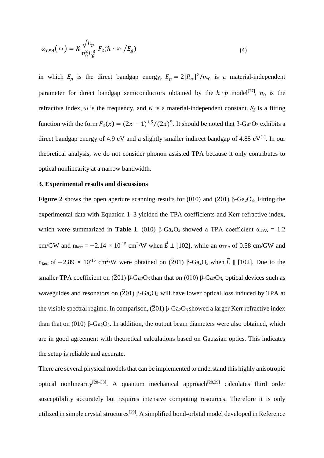$$
\alpha_{TPA}(\omega) = K \frac{\sqrt{E_p}}{n_0^2 E_g^3} F_2(\hbar \omega / E_g)
$$
\n(4)

in which  $E_g$  is the direct bandgap energy,  $E_p = 2|P_{vc}|^2/m_0$  is a material-independent parameter for direct bandgap semiconductors obtained by the  $k \cdot p$  model<sup>[27]</sup>,  $n_0$  is the refractive index,  $\omega$  is the frequency, and *K* is a material-independent constant.  $F_2$  is a fitting function with the form  $F_2(x) = (2x - 1)^{1.5} / (2x)^5$ . It should be noted that β-Ga<sub>2</sub>O<sub>3</sub> exhibits a direct bandgap energy of 4.9 eV and a slightly smaller indirect bandgap of 4.85 eV[1]. In our theoretical analysis, we do not consider phonon assisted TPA because it only contributes to optical nonlinearity at a narrow bandwidth.

#### **3. Experimental results and discussions**

**Figure 2** shows the open aperture scanning results for (010) and ( $\overline{2}01$ ) β-Ga<sub>2</sub>O<sub>3</sub>. Fitting the experimental data with Equation 1–3 yielded the TPA coefficients and Kerr refractive index, which were summarized in **Table 1**. (010) β-Ga<sub>2</sub>O<sub>3</sub> showed a TPA coefficient  $α_{TPA} = 1.2$ cm/GW and  $n_{\text{ker}} = -2.14 \times 10^{-15}$  cm<sup>2</sup>/W when  $\vec{E} \perp [102]$ , while an  $\alpha_{TPA}$  of 0.58 cm/GW and  $n_{\text{ker}}$  of  $-2.89 \times 10^{-15}$  cm<sup>2</sup>/W were obtained on (2<sup>7</sup>O1) β-Ga<sub>2</sub>O<sub>3</sub> when  $\vec{E}$  || [102]. Due to the smaller TPA coefficient on ( $\overline{2}01$ ) β-Ga<sub>2</sub>O<sub>3</sub> than that on (010) β-Ga<sub>2</sub>O<sub>3</sub>, optical devices such as waveguides and resonators on  $(201)$  β-Ga<sub>2</sub>O<sub>3</sub> will have lower optical loss induced by TPA at the visible spectral regime. In comparison,  $(201)$  β-Ga<sub>2</sub>O<sub>3</sub> showed a larger Kerr refractive index than that on (010) β- $Ga<sub>2</sub>O<sub>3</sub>$ . In addition, the output beam diameters were also obtained, which are in good agreement with theoretical calculations based on Gaussian optics. This indicates the setup is reliable and accurate.

There are several physical models that can be implemented to understand this highly anisotropic optical nonlinearity<sup>[28–33]</sup>. A quantum mechanical approach<sup>[28,29]</sup> calculates third order susceptibility accurately but requires intensive computing resources. Therefore it is only utilized in simple crystal structures<sup>[29]</sup>. A simplified bond-orbital model developed in Reference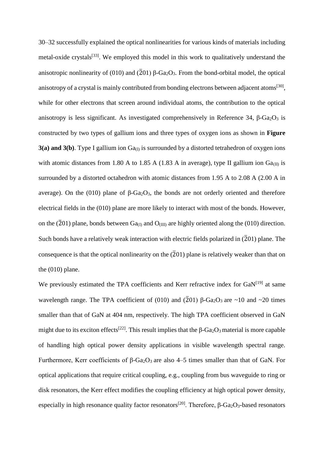30–32 successfully explained the optical nonlinearities for various kinds of materials including metal-oxide crystals<sup>[33]</sup>. We employed this model in this work to qualitatively understand the anisotropic nonlinearity of (010) and ( $\overline{2}$ 01) β-Ga<sub>2</sub>O<sub>3</sub>. From the bond-orbital model, the optical anisotropy of a crystal is mainly contributed from bonding electrons between adjacent atoms<sup>[30]</sup>, while for other electrons that screen around individual atoms, the contribution to the optical anisotropy is less significant. As investigated comprehensively in Reference 34, β- $Ga<sub>2</sub>O<sub>3</sub>$  is constructed by two types of gallium ions and three types of oxygen ions as shown in **Figure 3(a) and 3(b).** Type I gallium ion  $Ga_{(I)}$  is surrounded by a distorted tetrahedron of oxygen ions with atomic distances from 1.80 A to 1.85 A (1.83 A in average), type II gallium ion  $Ga_{(II)}$  is surrounded by a distorted octahedron with atomic distances from 1.95 A to 2.08 A (2.00 A in average). On the (010) plane of  $β$ -Ga<sub>2</sub>O<sub>3</sub>, the bonds are not orderly oriented and therefore electrical fields in the (010) plane are more likely to interact with most of the bonds. However, on the  $(201)$  plane, bonds between Ga<sub>(I)</sub> and O<sub>(III)</sub> are highly oriented along the (010) direction. Such bonds have a relatively weak interaction with electric fields polarized in  $(201)$  plane. The consequence is that the optical nonlinearity on the  $(201)$  plane is relatively weaker than that on the (010) plane.

We previously estimated the TPA coefficients and Kerr refractive index for  $GaN^{[19]}$  at same wavelength range. The TPA coefficient of (010) and ( $\overline{2}01$ ) β-Ga<sub>2</sub>O<sub>3</sub> are ~10 and ~20 times smaller than that of GaN at 404 nm, respectively. The high TPA coefficient observed in GaN might due to its exciton effects<sup>[22]</sup>. This result implies that the  $\beta$ -Ga<sub>2</sub>O<sub>3</sub> material is more capable of handling high optical power density applications in visible wavelength spectral range. Furthermore, Kerr coefficients of β-Ga<sub>2</sub>O<sub>3</sub> are also 4–5 times smaller than that of GaN. For optical applications that require critical coupling, e.g., coupling from bus waveguide to ring or disk resonators, the Kerr effect modifies the coupling efficiency at high optical power density, especially in high resonance quality factor resonators<sup>[20]</sup>. Therefore,  $\beta$ -Ga<sub>2</sub>O<sub>3</sub>-based resonators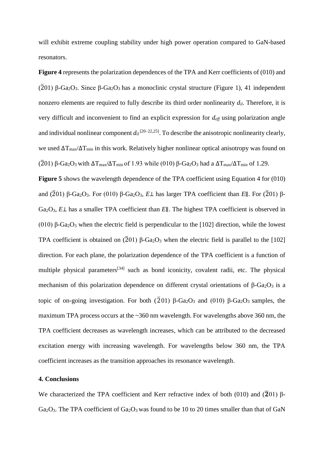will exhibit extreme coupling stability under high power operation compared to GaN-based resonators.

**Figure 4** represents the polarization dependences of the TPA and Kerr coefficients of (010) and ( $\overline{2}01$ ) β-Ga<sub>2</sub>O<sub>3</sub>. Since β-Ga<sub>2</sub>O<sub>3</sub> has a monoclinic crystal structure (Figure 1), 41 independent nonzero elements are required to fully describe its third order nonlinearity *dil*. Therefore, it is very difficult and inconvenient to find an explicit expression for *deff* using polarization angle and individual nonlinear component  $d_{il}^{[20-22,25]}$ . To describe the anisotropic nonlinearity clearly, we used  $\Delta T_{\text{max}}/\Delta T_{\text{min}}$  in this work. Relatively higher nonlinear optical anisotropy was found on ( $\overline{2}$ 01) β-Ga<sub>2</sub>O<sub>3</sub> with  $\Delta T_{max}/\Delta T_{min}$  of 1.93 while (010) β-Ga<sub>2</sub>O<sub>3</sub> had a  $\Delta T_{max}/\Delta T_{min}$  of 1.29.

**Figure 5** shows the wavelength dependence of the TPA coefficient using Equation 4 for (010) and ( $\overline{2}$ 01) β-Ga<sub>2</sub>O<sub>3</sub>. For (010) β-Ga<sub>2</sub>O<sub>3</sub>, *E*⊥ has larger TPA coefficient than *E*∥. For ( $\overline{2}$ 01) β-Ga2O3, *E*⊥ has a smaller TPA coefficient than *E*∥. The highest TPA coefficient is observed in (010) β-Ga<sub>2</sub>O<sub>3</sub> when the electric field is perpendicular to the [102] direction, while the lowest TPA coefficient is obtained on  $(201)$  β-Ga<sub>2</sub>O<sub>3</sub> when the electric field is parallel to the [102] direction. For each plane, the polarization dependence of the TPA coefficient is a function of multiple physical parameters<sup>[34]</sup> such as bond iconicity, covalent radii, etc. The physical mechanism of this polarization dependence on different crystal orientations of β-Ga<sub>2</sub>O<sub>3</sub> is a topic of on-going investigation. For both ( $\overline{2}$  01) β-Ga<sub>2</sub>O<sub>3</sub> and (010) β-Ga<sub>2</sub>O<sub>3</sub> samples, the maximum TPA process occurs at the ~360 nm wavelength. For wavelengths above 360 nm, the TPA coefficient decreases as wavelength increases, which can be attributed to the decreased excitation energy with increasing wavelength. For wavelengths below 360 nm, the TPA coefficient increases as the transition approaches its resonance wavelength.

# **4. Conclusions**

We characterized the TPA coefficient and Kerr refractive index of both (010) and  $(\overline{2}01)$  β-Ga<sub>2</sub>O<sub>3</sub>. The TPA coefficient of Ga<sub>2</sub>O<sub>3</sub> was found to be 10 to 20 times smaller than that of GaN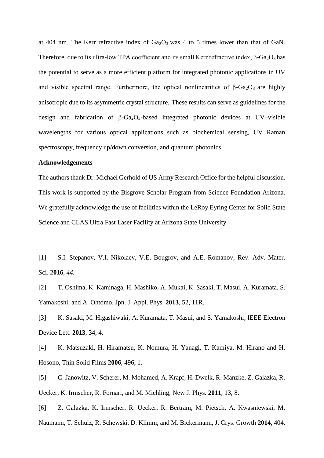at 404 nm. The Kerr refractive index of  $Ga<sub>2</sub>O<sub>3</sub>$  was 4 to 5 times lower than that of GaN. Therefore, due to its ultra-low TPA coefficient and its small Kerr refractive index,  $\beta$ -Ga<sub>2</sub>O<sub>3</sub> has the potential to serve as a more efficient platform for integrated photonic applications in UV and visible spectral range. Furthermore, the optical nonlinearities of  $\beta$ -Ga<sub>2</sub>O<sub>3</sub> are highly anisotropic due to its asymmetric crystal structure.. These results can serve as guidelines for the design and fabrication of β-Ga2O3-based integrated photonic devices at UV–visible wavelengths for various optical applications such as biochemical sensing, UV Raman spectroscopy, frequency up/down conversion, and quantum photonics.

## **Acknowledgements**

The authors thank Dr. Michael Gerhold of US Army Research Office for the helpful discussion. This work is supported by the Bisgrove Scholar Program from Science Foundation Arizona. We gratefully acknowledge the use of facilities within the LeRoy Eyring Center for Solid State Science and CLAS Ultra Fast Laser Facility at Arizona State University.

[1] S.I. Stepanov, V.I. Nikolaev, V.E. Bougrov, and A.E. Romanov, Rev. Adv. Mater. Sci. **2016**, *44.*

[2] T. Oshima, K. Kaminaga, H. Mashiko, A. Mukai, K. Sasaki, T. Masui, A. Kuramata, S. Yamakoshi, and A. Ohtomo, Jpn. J. Appl. Phys. **2013**, 52, 11R.

[3] K. Sasaki, M. Higashiwaki, A. Kuramata, T. Masui, and S. Yamakoshi, IEEE Electron Device Lett. **2013**, 34, 4.

[4] K. Matsuzaki, H. Hiramatsu, K. Nomura, H. Yanagi, T. Kamiya, M. Hirano and H. Hosono, Thin Solid Films **2006**, 496**,** 1.

[5] C. Janowitz, V. Scherer, M. Mohamed, A. Krapf, H. Dwelk, R. Manzke, Z. Galazka, R. Uecker, K. Irmscher, R. Fornari, and M. Michling, New J. Phys. **2011**, 13, 8.

[6] Z. Galazka, K. Irmscher, R. Uecker, R. Bertram, M. Pietsch, A. Kwasniewski, M. Naumann, T. Schulz, R. Schewski, D. Klimm, and M. Bickermann, J. Crys. Growth **2014**, 404.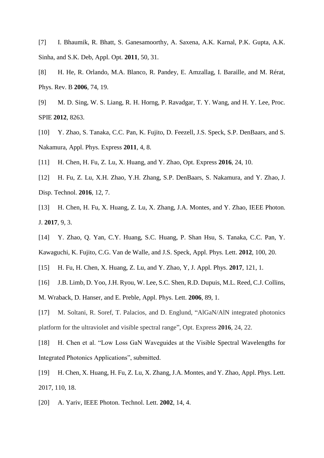[7] I. Bhaumik, R. Bhatt, S. Ganesamoorthy, A. Saxena, A.K. Karnal, P.K. Gupta, A.K. Sinha, and S.K. Deb, Appl. Opt. **2011**, 50, 31.

[8] H. He, R. Orlando, M.A. Blanco, R. Pandey, E. Amzallag, I. Baraille, and M. Rérat, Phys. Rev. B **2006**, 74, 19.

[9] M. D. Sing, W. S. Liang, R. H. Horng, P. Ravadgar, T. Y. Wang, and H. Y. Lee, Proc. SPIE **2012**, 8263.

[10] Y. Zhao, S. Tanaka, C.C. Pan, K. Fujito, D. Feezell, J.S. Speck, S.P. DenBaars, and S. Nakamura, Appl. Phys. Express **2011**, 4, 8.

[11] H. Chen, H. Fu, Z. Lu, X. Huang, and Y. Zhao, Opt. Express **2016**, 24, 10.

[12] H. Fu, Z. Lu, X.H. Zhao, Y.H. Zhang, S.P. DenBaars, S. Nakamura, and Y. Zhao, J. Disp. Technol. **2016**, 12, 7.

[13] H. Chen, H. Fu, X. Huang, Z. Lu, X. Zhang, J.A. Montes, and Y. Zhao, IEEE Photon. J. **2017**, 9, 3.

[14] Y. Zhao, Q. Yan, C.Y. Huang, S.C. Huang, P. Shan Hsu, S. Tanaka, C.C. Pan, Y. Kawaguchi, K. Fujito, C.G. Van de Walle, and J.S. Speck, Appl. Phys. Lett. **2012**, 100, 20.

[15] H. Fu, H. Chen, X. Huang, Z. Lu, and Y. Zhao, Y, J. Appl. Phys. **2017**, 121, 1.

[16] J.B. Limb, D. Yoo, J.H. Ryou, W. Lee, S.C. Shen, R.D. Dupuis, M.L. Reed, C.J. Collins,

M. Wraback, D. Hanser, and E. Preble, Appl. Phys. Lett. **2006**, 89, 1.

[17] M. Soltani, R. Soref, T. Palacios, and D. Englund, "AlGaN/AlN integrated photonics platform for the ultraviolet and visible spectral range", Opt. Express **2016**, 24, 22.

[18] H. Chen et al. "Low Loss GaN Waveguides at the Visible Spectral Wavelengths for Integrated Photonics Applications", submitted.

[19] H. Chen, X. Huang, H. Fu, Z. Lu, X. Zhang, J.A. Montes, and Y. Zhao, Appl. Phys. Lett. 2017, 110, 18.

[20] A. Yariv, IEEE Photon. Technol. Lett. **2002**, 14, 4.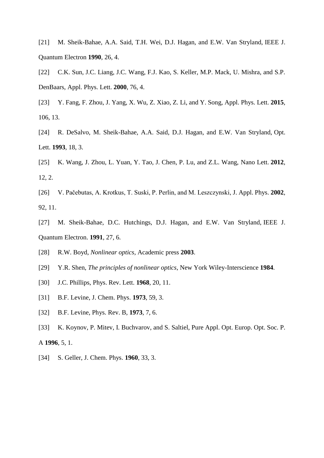[21] M. Sheik-Bahae, A.A. Said, T.H. Wei, D.J. Hagan, and E.W. Van Stryland, IEEE J. Quantum Electron **1990**, 26, 4.

[22] C.K. Sun, J.C. Liang, J.C. Wang, F.J. Kao, S. Keller, M.P. Mack, U. Mishra, and S.P. DenBaars, Appl. Phys. Lett. **2000**, 76, 4.

[23] Y. Fang, F. Zhou, J. Yang, X. Wu, Z. Xiao, Z. Li, and Y. Song, Appl. Phys. Lett. **2015**, 106, 13.

[24] R. DeSalvo, M. Sheik-Bahae, A.A. Said, D.J. Hagan, and E.W. Van Stryland, Opt. Lett. **1993**, 18, 3.

[25] K. Wang, J. Zhou, L. Yuan, Y. Tao, J. Chen, P. Lu, and Z.L. Wang, Nano Lett. **2012**, 12, 2.

[26] V. Pačebutas, A. Krotkus, T. Suski, P. Perlin, and M. Leszczynski, J. Appl. Phys. **2002**, 92, 11.

[27] M. Sheik-Bahae, D.C. Hutchings, D.J. Hagan, and E.W. Van Stryland, IEEE J. Quantum Electron. **1991**, 27, 6.

[28] R.W. Boyd, *Nonlinear optics,* Academic press **2003**.

[29] Y.R. Shen, *The principles of nonlinear optics*, New York Wiley-Interscience **1984**.

- [30] J.C. Phillips, Phys. Rev. Lett. **1968**, 20, 11.
- [31] B.F. Levine, J. Chem. Phys. **1973**, 59, 3.
- [32] B.F. Levine, Phys. Rev. B, **1973**, 7, 6.
- [33] K. Koynov, P. Mitev, I. Buchvarov, and S. Saltiel, Pure Appl. Opt. Europ. Opt. Soc. P. A **1996**, 5, 1.
- [34] S. Geller, J. Chem. Phys. **1960**, 33, 3.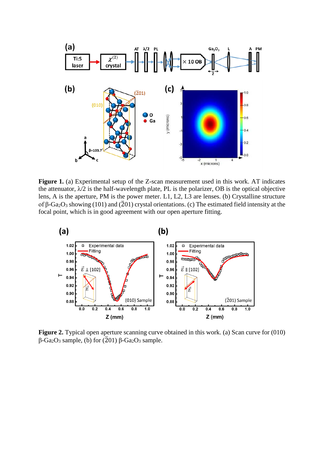

Figure 1. (a) Experimental setup of the Z-scan measurement used in this work. AT indicates the attenuator,  $\lambda/2$  is the half-wavelength plate, PL is the polarizer, OB is the optical objective lens, A is the aperture, PM is the power meter. L1, L2, L3 are lenses. (b) Crystalline structure of β-Ga<sub>2</sub>O<sub>3</sub> showing (101) and ( $\overline{2}$ 01) crystal orientations. (c) The estimated field intensity at the focal point, which is in good agreement with our open aperture fitting.



**Figure 2.** Typical open aperture scanning curve obtained in this work. (a) Scan curve for (010)  $β$ -Ga<sub>2</sub>O<sub>3</sub> sample, (b) for ( $\overline{2}$ 01) β-Ga<sub>2</sub>O<sub>3</sub> sample.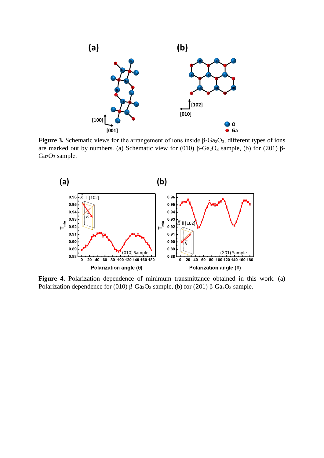

**Figure 3.** Schematic views for the arrangement of ions inside β- $Ga<sub>2</sub>O<sub>3</sub>$ , different types of ions are marked out by numbers. (a) Schematic view for (010) β-Ga<sub>2</sub>O<sub>3</sub> sample, (b) for ( $\overline{2}01$ ) β-Ga<sub>2</sub>O<sub>3</sub> sample.



Figure 4. Polarization dependence of minimum transmittance obtained in this work. (a) Polarization dependence for (010) β-Ga<sub>2</sub>O<sub>3</sub> sample, (b) for ( $\overline{2}$ 01) β-Ga<sub>2</sub>O<sub>3</sub> sample.